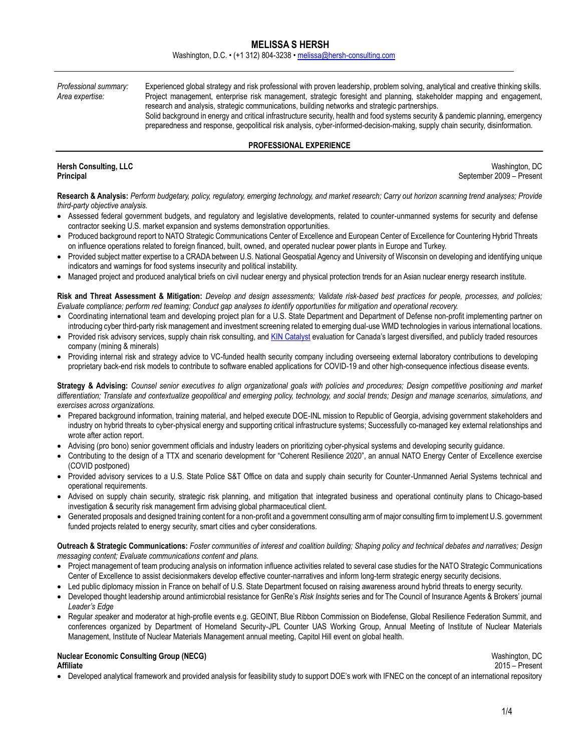Washington, D.C. • (+1 312) 804-3238 • [melissa@hersh-consulting.com](mailto:melissa@hersh-consulting.com)

*Professional summary:* Experienced global strategy and risk professional with proven leadership, problem solving, analytical and creative thinking skills. *Area expertise:* Project management, enterprise risk management, strategic foresight and planning, stakeholder mapping and engagement, research and analysis, strategic communications, building networks and strategic partnerships. Solid background in energy and critical infrastructure security, health and food systems security & pandemic planning, emergency preparedness and response, geopolitical risk analysis, cyber-informed-decision-making, supply chain security, disinformation.

### **PROFESSIONAL EXPERIENCE**

**Hersh Consulting, LLC** Washington, DC **Principal** September 2009 – Present

**Research & Analysis:** *Perform budgetary, policy, regulatory, emerging technology, and market research; Carry out horizon scanning trend analyses; Provide third-party objective analysis.* 

- Assessed federal government budgets, and regulatory and legislative developments, related to counter-unmanned systems for security and defense contractor seeking U.S. market expansion and systems demonstration opportunities.
- Produced background report to NATO Strategic Communications Center of Excellence and European Center of Excellence for Countering Hybrid Threats on influence operations related to foreign financed, built, owned, and operated nuclear power plants in Europe and Turkey.
- Provided subject matter expertise to a CRADA between U.S. National Geospatial Agency and University of Wisconsin on developing and identifying unique indicators and warnings for food systems insecurity and political instability.
- Managed project and produced analytical briefs on civil nuclear energy and physical protection trends for an Asian nuclear energy research institute.

**Risk and Threat Assessment & Mitigation:** *Develop and design assessments; Validate risk-based best practices for people, processes, and policies; Evaluate compliance; perform red teaming; Conduct gap analyses to identify opportunities for mitigation and operational recovery.* 

- Coordinating international team and developing project plan for a U.S. State Department and Department of Defense non-profit implementing partner on introducing cyber third-party risk management and investment screening related to emerging dual-use WMD technologies in various international locations.
- Provided risk advisory services, supply chain risk consulting, and [KIN Catalyst](http://www.kinglobal.org/catalyst.php) evaluation for Canada's largest diversified, and publicly traded resources company (mining & minerals)
- Providing internal risk and strategy advice to VC-funded health security company including overseeing external laboratory contributions to developing proprietary back-end risk models to contribute to software enabled applications for COVID-19 and other high-consequence infectious disease events.

**Strategy & Advising:** *Counsel senior executives to align organizational goals with policies and procedures; Design competitive positioning and market differentiation; Translate and contextualize geopolitical and emerging policy, technology, and social trends; Design and manage scenarios, simulations, and exercises across organizations.* 

- Prepared background information, training material, and helped execute DOE-INL mission to Republic of Georgia, advising government stakeholders and industry on hybrid threats to cyber-physical energy and supporting critical infrastructure systems; Successfully co-managed key external relationships and wrote after action report.
- Advising (pro bono) senior government officials and industry leaders on prioritizing cyber-physical systems and developing security guidance.
- Contributing to the design of a TTX and scenario development for "Coherent Resilience 2020", an annual NATO Energy Center of Excellence exercise (COVID postponed)
- Provided advisory services to a U.S. State Police S&T Office on data and supply chain security for Counter-Unmanned Aerial Systems technical and operational requirements.
- Advised on supply chain security, strategic risk planning, and mitigation that integrated business and operational continuity plans to Chicago-based investigation & security risk management firm advising global pharmaceutical client.
- Generated proposals and designed training content for a non-profit and a government consulting arm of major consulting firm to implement U.S. government funded projects related to energy security, smart cities and cyber considerations.

**Outreach & Strategic Communications:** *Foster communities of interest and coalition building; Shaping policy and technical debates and narratives; Design messaging content; Evaluate communications content and plans.* 

- Project management of team producing analysis on information influence activities related to several case studies for the NATO Strategic Communications Center of Excellence to assist decisionmakers develop effective counter-narratives and inform long-term strategic energy security decisions.
- Led public diplomacy mission in France on behalf of U.S. State Department focused on raising awareness around hybrid threats to energy security.
- Developed thought leadership around antimicrobial resistance for GenRe's *Risk Insights* series and for The Council of Insurance Agents & Brokers' journal *Leader's Edge*
- Regular *s*peaker and moderator at high-profile events e.g. GEOINT, Blue Ribbon Commission on Biodefense, Global Resilience Federation Summit, and conferences organized by Department of Homeland Security-JPL Counter UAS Working Group, Annual Meeting of Institute of Nuclear Materials Management, Institute of Nuclear Materials Management annual meeting, Capitol Hill event on global health.

#### **Nuclear Economic Consulting Group (NECG) Washington, DC Washington, DC Washington, DC Affiliate** 2015 – Present

• Developed analytical framework and provided analysis for feasibility study to support DOE's work with IFNEC on the concept of an international repository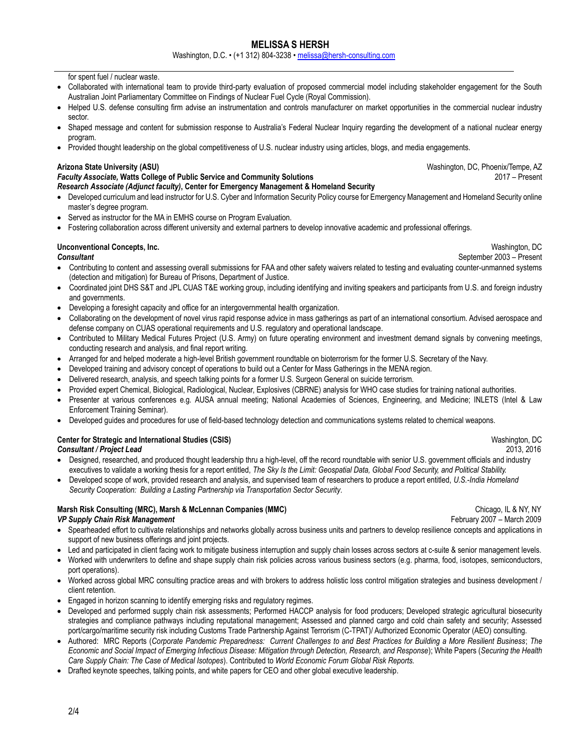Washington, D.C. • (+1 312) 804-3238 • [melissa@hersh-consulting.com](mailto:melissa@hersh-consulting.com)

for spent fuel / nuclear waste.

- Collaborated with international team to provide third-party evaluation of proposed commercial model including stakeholder engagement for the South Australian Joint Parliamentary Committee on Findings of Nuclear Fuel Cycle (Royal Commission).
- Helped U.S. defense consulting firm advise an instrumentation and controls manufacturer on market opportunities in the commercial nuclear industry sector.
- Shaped message and content for submission response to Australia's Federal Nuclear Inquiry regarding the development of a national nuclear energy program.
- Provided thought leadership on the global competitiveness of U.S. nuclear industry using articles, blogs, and media engagements.

### **Arizona State University (ASU)** Washington, DC, Phoenix/Tempe, AZ

#### *Faculty Associate,* **Watts College of Public Service and Community Solutions** *Research Associate (Adjunct faculty)***, Center for Emergency Management & Homeland Security**

- Developed curriculum and lead instructor for U.S. Cyber and Information Security Policy course for Emergency Management and Homeland Security online master's degree program.
- Served as instructor for the MA in EMHS course on Program Evaluation.
- Fostering collaboration across different university and external partners to develop innovative academic and professional offerings.

# **Unconventional Concepts, Inc.** Washington, DC

- Contributing to content and assessing overall submissions for FAA and other safety waivers related to testing and evaluating counter-unmanned systems (detection and mitigation) for Bureau of Prisons, Department of Justice.
- Coordinated joint DHS S&T and JPL CUAS T&E working group, including identifying and inviting speakers and participants from U.S. and foreign industry and governments.
- Developing a foresight capacity and office for an intergovernmental health organization.
- Collaborating on the development of novel virus rapid response advice in mass gatherings as part of an international consortium. Advised aerospace and defense company on CUAS operational requirements and U.S. regulatory and operational landscape.
- Contributed to Military Medical Futures Project (U.S. Army) on future operating environment and investment demand signals by convening meetings, conducting research and analysis, and final report writing.
- Arranged for and helped moderate a high-level British government roundtable on bioterrorism for the former U.S. Secretary of the Navy.
- Developed training and advisory concept of operations to build out a Center for Mass Gatherings in the MENA region.
- Delivered research, analysis, and speech talking points for a former U.S. Surgeon General on suicide terrorism.
- Provided expert Chemical, Biological, Radiological, Nuclear, Explosives (CBRNE) analysis for WHO case studies for training national authorities.
- Presenter at various conferences e.g. AUSA annual meeting; National Academies of Sciences, Engineering, and Medicine; INLETS (Intel & Law Enforcement Training Seminar).
- Developed guides and procedures for use of field-based technology detection and communications systems related to chemical weapons.

# **Center for Strategic and International Studies (CSIS)** Washington, DC **CENS** Washington, DC

*Consultant / Project Lead* 2013, 2016

- Designed, researched, and produced thought leadership thru a high-level, off the record roundtable with senior U.S. government officials and industry executives to validate a working thesis for a report entitled, *The Sky Is the Limit: Geospatial Data, Global Food Security, and Political Stability.*
- Developed scope of work, provided research and analysis, and supervised team of researchers to produce a report entitled, *U.S.-India Homeland Security Cooperation: Building a Lasting Partnership via Transportation Sector Security*.

#### **Marsh Risk Consulting (MRC), Marsh & McLennan Companies (MMC) Chicago, IL & NY, NY** Chicago, IL & NY, NY *VP Supply Chain Risk Management* February 2007 – March 2009

- Spearheaded effort to cultivate relationships and networks globally across business units and partners to develop resilience concepts and applications in support of new business offerings and joint projects.
- Led and participated in client facing work to mitigate business interruption and supply chain losses across sectors at c-suite & senior management levels.
- Worked with underwriters to define and shape supply chain risk policies across various business sectors (e.g. pharma, food, isotopes, semiconductors, port operations).
- Worked across global MRC consulting practice areas and with brokers to address holistic loss control mitigation strategies and business development / client retention.
- Engaged in horizon scanning to identify emerging risks and regulatory regimes.
- Developed and performed supply chain risk assessments; Performed HACCP analysis for food producers; Developed strategic agricultural biosecurity strategies and compliance pathways including reputational management; Assessed and planned cargo and cold chain safety and security; Assessed port/cargo/maritime security risk including Customs Trade Partnership Against Terrorism (C-TPAT)/ Authorized Economic Operator (AEO) consulting.
- Authored: MRC Reports (*Corporate Pandemic Preparedness: Current Challenges to and Best Practices for Building a More Resilient Business*; *The Economic and Social Impact of Emerging Infectious Disease: Mitigation through Detection, Research, and Response*); White Papers (*Securing the Health Care Supply Chain: The Case of Medical Isotopes*). Contributed to *World Economic Forum Global Risk Reports.*
- Drafted keynote speeches, talking points, and white papers for CEO and other global executive leadership.

2017 – Present

**Consultant** September 2003 – Present

2/4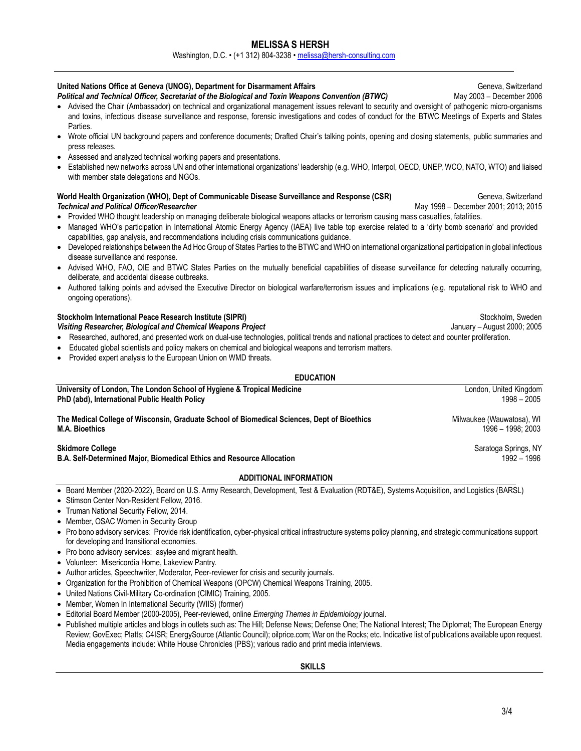Washington, D.C. • (+1 312) 804-3238 • [melissa@hersh-consulting.com](mailto:melissa@hersh-consulting.com)

## United Nations Office at Geneva (UNOG), Department for Disarmament Affairs **Geneva**, Switzerland Geneva, Switzerland

*Political and Technical Officer, Secretariat of the Biological and Toxin Weapons Convention (BTWC)* May 2003 – December 2006

- Advised the Chair (Ambassador) on technical and organizational management issues relevant to security and oversight of pathogenic micro-organisms and toxins, infectious disease surveillance and response, forensic investigations and codes of conduct for the BTWC Meetings of Experts and States Parties.
- Wrote official UN background papers and conference documents; Drafted Chair's talking points, opening and closing statements, public summaries and press releases.
- Assessed and analyzed technical working papers and presentations.
- Established new networks across UN and other international organizations' leadership (e.g. WHO, Interpol, OECD, UNEP, WCO, NATO, WTO) and liaised with member state delegations and NGOs.

### World Health Organization (WHO), Dept of Communicable Disease Surveillance and Response (CSR) **Subset Contained Secure 20** Geneva, Switzerland **Technical and Political Officer/Researcher** May 1998 – December 2001; 2013; 2015

- Provided WHO thought leadership on managing deliberate biological weapons attacks or terrorism causing mass casualties, fatalities.
- Managed WHO's participation in International Atomic Energy Agency (IAEA) live table top exercise related to a 'dirty bomb scenario' and provided capabilities, gap analysis, and recommendations including crisis communications guidance.
- Developed relationships between the Ad Hoc Group of States Parties to the BTWC and WHO on international organizational participation in global infectious disease surveillance and response.
- Advised WHO, FAO, OIE and BTWC States Parties on the mutually beneficial capabilities of disease surveillance for detecting naturally occurring, deliberate, and accidental disease outbreaks.
- Authored talking points and advised the Executive Director on biological warfare/terrorism issues and implications (e.g. reputational risk to WHO and ongoing operations).

## **Stockholm International Peace Research Institute (SIPRI)** Stockholm, Sweden Stockholm, Sweden

- Visiting Researcher, Biological and Chemical Weapons Project **January August 2000; 2005** January August 2000; 2005 • Researched, authored, and presented work on dual-use technologies, political trends and national practices to detect and counter proliferation.
- Educated global scientists and policy makers on chemical and biological weapons and terrorism matters.
- Provided expert analysis to the European Union on WMD threats.

## **EDUCATION**

| University of London, The London School of Hygiene & Tropical Medicine                                               | London, United Kingdom                         |
|----------------------------------------------------------------------------------------------------------------------|------------------------------------------------|
| PhD (abd), International Public Health Policy                                                                        | 1998 - 2005                                    |
| The Medical College of Wisconsin, Graduate School of Biomedical Sciences, Dept of Bioethics<br><b>M.A. Bioethics</b> | Milwaukee (Wauwatosa), WI<br>1996 - 1998: 2003 |
| <b>Skidmore College</b><br>B.A. Self-Determined Major, Biomedical Ethics and Resource Allocation                     | Saratoga Springs, NY<br>1992 – 1996            |
| ADDITIONAL INFODMATION                                                                                               |                                                |

## **ADDITIONAL INFORMATION**

- Board Member (2020-2022), Board on U.S. Army Research, Development, Test & Evaluation (RDT&E), Systems Acquisition, and Logistics (BARSL)
- Stimson Center Non-Resident Fellow, 2016.
- Truman National Security Fellow, 2014.
- Member, OSAC Women in Security Group
- Pro bono advisory services: Provide risk identification, cyber-physical critical infrastructure systems policy planning, and strategic communications support for developing and transitional economies.
- Pro bono advisory services: asylee and migrant health.
- Volunteer: Misericordia Home, Lakeview Pantry.
- Author articles, Speechwriter, Moderator, Peer-reviewer for crisis and security journals.
- Organization for the Prohibition of Chemical Weapons (OPCW) Chemical Weapons Training, 2005.
- United Nations Civil-Military Co-ordination (CIMIC) Training, 2005.
- Member, Women In International Security (WIIS) (former)
- Editorial Board Member (2000-2005), Peer-reviewed, online *Emerging Themes in Epidemiology* journal.
- Published multiple articles and blogs in outlets such as: The Hill; Defense News; Defense One; The National Interest; The Diplomat; The European Energy Review; GovExec; Platts; C4ISR; EnergySource (Atlantic Council); oilprice.com; War on the Rocks; etc. Indicative list of publications available upon request. Media engagements include: White House Chronicles (PBS); various radio and print media interviews.